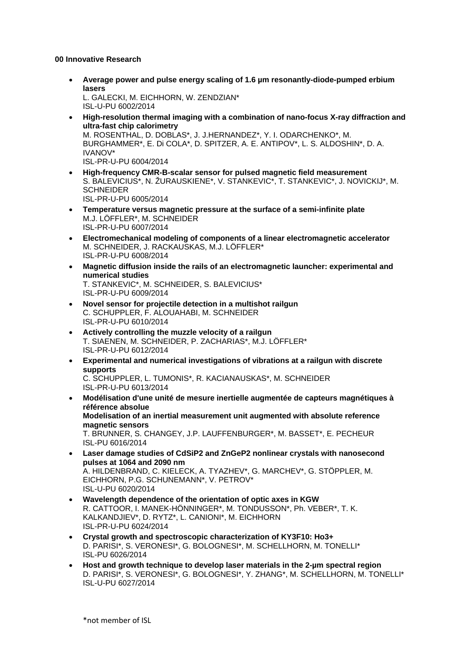## **00 Innovative Research**

- **Average power and pulse energy scaling of 1.6 µm resonantly-diode-pumped erbium lasers** L. GALECKI, M. EICHHORN, W. ZENDZIAN\* ISL-U-PU 6002/2014
- **High-resolution thermal imaging with a combination of nano-focus X-ray diffraction and ultra-fast chip calorimetry** M. ROSENTHAL, D. DOBLAS\*, J. J.HERNANDEZ\*, Y. I. ODARCHENKO\*, M. BURGHAMMER\*, E. Di COLA\*, D. SPITZER, A. E. ANTIPOV\*, L. S. ALDOSHIN\*, D. A. IVANOV\* ISL-PR-U-PU 6004/2014
- **High-frequency CMR-B-scalar sensor for pulsed magnetic field measurement** S. BALEVICIUS\*, N. ŽURAUSKIENE\*, V. STANKEVIC\*, T. STANKEVIC\*, J. NOVICKIJ\*, M. **SCHNEIDER** ISL-PR-U-PU 6005/2014
- **Temperature versus magnetic pressure at the surface of a semi-infinite plate** M.J. LÖFFLER\*, M. SCHNEIDER ISL-PR-U-PU 6007/2014
- **Electromechanical modeling of components of a linear electromagnetic accelerator** M. SCHNEIDER, J. RACKAUSKAS, M.J. LÖFFLER\* ISL-PR-U-PU 6008/2014
- **Magnetic diffusion inside the rails of an electromagnetic launcher: experimental and numerical studies** T. STANKEVIC\*, M. SCHNEIDER, S. BALEVICIUS\* ISL-PR-U-PU 6009/2014
- **Novel sensor for projectile detection in a multishot railgun** C. SCHUPPLER, F. ALOUAHABI, M. SCHNEIDER ISL-PR-U-PU 6010/2014
- **Actively controlling the muzzle velocity of a railgun** T. SIAENEN, M. SCHNEIDER, P. ZACHARIAS\*, M.J. LÖFFLER\* ISL-PR-U-PU 6012/2014
- **Experimental and numerical investigations of vibrations at a railgun with discrete supports**

C. SCHUPPLER, L. TUMONIS\*, R. KACIANAUSKAS\*, M. SCHNEIDER ISL-PR-U-PU 6013/2014

- **Modélisation d'une unité de mesure inertielle augmentée de capteurs magnétiques à référence absolue Modelisation of an inertial measurement unit augmented with absolute reference magnetic sensors** T. BRUNNER, S. CHANGEY, J.P. LAUFFENBURGER\*, M. BASSET\*, E. PECHEUR ISL-PU 6016/2014
- **Laser damage studies of CdSiP2 and ZnGeP2 nonlinear crystals with nanosecond pulses at 1064 and 2090 nm** A. HILDENBRAND, C. KIELECK, A. TYAZHEV\*, G. MARCHEV\*, G. STÖPPLER, M. EICHHORN, P.G. SCHUNEMANN\*, V. PETROV\* ISL-U-PU 6020/2014
- **Wavelength dependence of the orientation of optic axes in KGW** R. CATTOOR, I. MANEK-HÖNNINGER\*, M. TONDUSSON\*, Ph. VEBER\*, T. K. KALKANDJIEV\*, D. RYTZ\*, L. CANIONI\*, M. EICHHORN ISL-PR-U-PU 6024/2014
- **Crystal growth and spectroscopic characterization of KY3F10: Ho3+** D. PARISI\*, S. VERONESI\*, G. BOLOGNESI\*, M. SCHELLHORN, M. TONELLI\* ISL-PU 6026/2014
- **Host and growth technique to develop laser materials in the 2-µm spectral region** D. PARISI\*, S. VERONESI\*, G. BOLOGNESI\*, Y. ZHANG\*, M. SCHELLHORN, M. TONELLI\* ISL-U-PU 6027/2014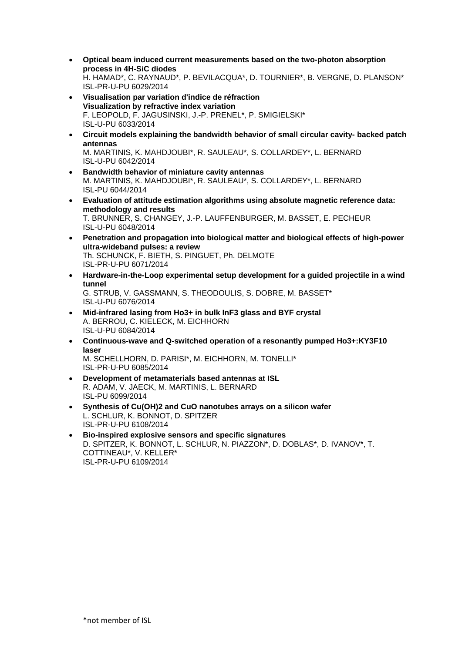- **Optical beam induced current measurements based on the two-photon absorption process in 4H-SiC diodes** H. HAMAD\*, C. RAYNAUD\*, P. BEVILACQUA\*, D. TOURNIER\*, B. VERGNE, D. PLANSON\* ISL-PR-U-PU 6029/2014
- **Visualisation par variation d'indice de réfraction Visualization by refractive index variation** F. LEOPOLD, F. JAGUSINSKI, J.-P. PRENEL\*, P. SMIGIELSKI\* ISL-U-PU 6033/2014
- **Circuit models explaining the bandwidth behavior of small circular cavity- backed patch antennas** M. MARTINIS, K. MAHDJOUBI\*, R. SAULEAU\*, S. COLLARDEY\*, L. BERNARD ISL-U-PU 6042/2014
- **Bandwidth behavior of miniature cavity antennas** M. MARTINIS, K. MAHDJOUBI\*, R. SAULEAU\*, S. COLLARDEY\*, L. BERNARD ISL-PU 6044/2014
- **Evaluation of attitude estimation algorithms using absolute magnetic reference data: methodology and results** T. BRUNNER, S. CHANGEY, J.-P. LAUFFENBURGER, M. BASSET, E. PECHEUR ISL-U-PU 6048/2014
- **Penetration and propagation into biological matter and biological effects of high-power ultra-wideband pulses: a review** Th. SCHUNCK, F. BIETH, S. PINGUET, Ph. DELMOTE ISL-PR-U-PU 6071/2014
- **Hardware-in-the-Loop experimental setup development for a guided projectile in a wind tunnel** G. STRUB, V. GASSMANN, S. THEODOULIS, S. DOBRE, M. BASSET\* ISL-U-PU 6076/2014
- **Mid-infrared lasing from Ho3+ in bulk InF3 glass and BYF crystal** A. BERROU, C. KIELECK, M. EICHHORN ISL-U-PU 6084/2014
- **Continuous-wave and Q-switched operation of a resonantly pumped Ho3+:KY3F10 laser** M. SCHELLHORN, D. PARISI\*, M. EICHHORN, M. TONELLI\*

ISL-PR-U-PU 6085/2014

- **Development of metamaterials based antennas at ISL** R. ADAM, V. JAECK, M. MARTINIS, L. BERNARD ISL-PU 6099/2014
- **Synthesis of Cu(OH)2 and CuO nanotubes arrays on a silicon wafer** L. SCHLUR, K. BONNOT, D. SPITZER ISL-PR-U-PU 6108/2014
- **Bio-inspired explosive sensors and specific signatures** D. SPITZER, K. BONNOT, L. SCHLUR, N. PIAZZON\*, D. DOBLAS\*, D. IVANOV\*, T. COTTINEAU\*, V. KELLER\* ISL-PR-U-PU 6109/2014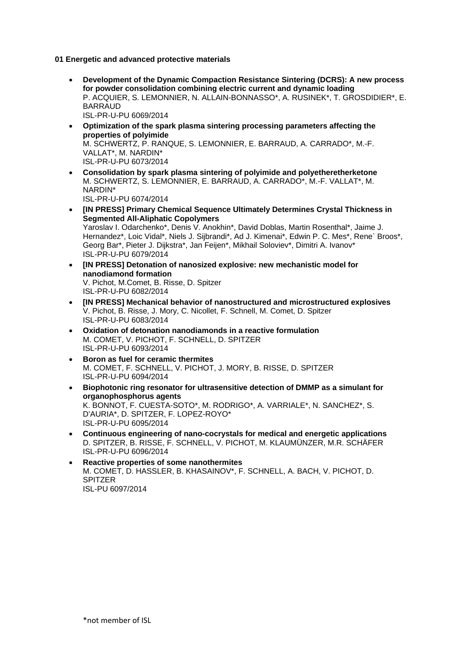**01 Energetic and advanced protective materials** 

- **Development of the Dynamic Compaction Resistance Sintering (DCRS): A new process for powder consolidation combining electric current and dynamic loading** P. ACQUIER, S. LEMONNIER, N. ALLAIN-BONNASSO\*, A. RUSINEK\*, T. GROSDIDIER\*, E. BARRAUD ISL-PR-U-PU 6069/2014
- **Optimization of the spark plasma sintering processing parameters affecting the properties of polyimide** M. SCHWERTZ, P. RANQUE, S. LEMONNIER, E. BARRAUD, A. CARRADO\*, M.-F. VALLAT\*, M. NARDIN\* ISL-PR-U-PU 6073/2014
- **Consolidation by spark plasma sintering of polyimide and polyetheretherketone** M. SCHWERTZ, S. LEMONNIER, E. BARRAUD, A. CARRADO\*, M.-F. VALLAT\*, M. NARDIN\* ISL-PR-U-PU 6074/2014
- **[IN PRESS] Primary Chemical Sequence Ultimately Determines Crystal Thickness in Segmented All-Aliphatic Copolymers** Yaroslav I. Odarchenko\*, Denis V. Anokhin\*, David Doblas, Martin Rosenthal\*, Jaime J. Hernandez\*, Loic Vidal\*, Niels J. Sijbrandi\*, Ad J. Kimenai\*, Edwin P. C. Mes\*, Rene´ Broos\*, Georg Bar\*, Pieter J. Dijkstra\*, Jan Feijen\*, Mikhail Soloviev\*, Dimitri A. Ivanov\* ISL-PR-U-PU 6079/2014
- **[IN PRESS] Detonation of nanosized explosive: new mechanistic model for nanodiamond formation** V. Pichot, M.Comet, B. Risse, D. Spitzer ISL-PR-U-PU 6082/2014
- **[IN PRESS] Mechanical behavior of nanostructured and microstructured explosives** V. Pichot, B. Risse, J. Mory, C. Nicollet, F. Schnell, M. Comet, D. Spitzer ISL-PR-U-PU 6083/2014
- **Oxidation of detonation nanodiamonds in a reactive formulation** M. COMET, V. PICHOT, F. SCHNELL, D. SPITZER ISL-PR-U-PU 6093/2014
- **Boron as fuel for ceramic thermites** M. COMET, F. SCHNELL, V. PICHOT, J. MORY, B. RISSE, D. SPITZER ISL-PR-U-PU 6094/2014
- **Biophotonic ring resonator for ultrasensitive detection of DMMP as a simulant for organophosphorus agents** K. BONNOT, F. CUESTA-SOTO\*, M. RODRIGO\*, A. VARRIALE\*, N. SANCHEZ\*, S. D'AURIA\*, D. SPITZER, F. LOPEZ-ROYO\* ISL-PR-U-PU 6095/2014
- **Continuous engineering of nano-cocrystals for medical and energetic applications** D. SPITZER, B. RISSE, F. SCHNELL, V. PICHOT, M. KLAUMÜNZER, M.R. SCHÄFER ISL-PR-U-PU 6096/2014
- **Reactive properties of some nanothermites** M. COMET, D. HASSLER, B. KHASAINOV\*, F. SCHNELL, A. BACH, V. PICHOT, D. SPITZER ISL-PU 6097/2014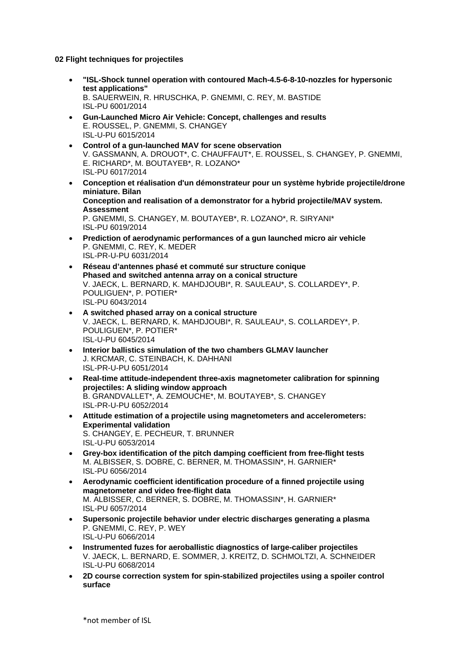**02 Flight techniques for projectiles** 

- **"ISL-Shock tunnel operation with contoured Mach-4.5-6-8-10-nozzles for hypersonic test applications"** B. SAUERWEIN, R. HRUSCHKA, P. GNEMMI, C. REY, M. BASTIDE ISL-PU 6001/2014
- **Gun-Launched Micro Air Vehicle: Concept, challenges and results** E. ROUSSEL, P. GNEMMI, S. CHANGEY ISL-U-PU 6015/2014
- **Control of a gun-launched MAV for scene observation** V. GASSMANN, A. DROUOT\*, C. CHAUFFAUT\*, E. ROUSSEL, S. CHANGEY, P. GNEMMI, E. RICHARD\*, M. BOUTAYEB\*, R. LOZANO\* ISL-PU 6017/2014
- **Conception et réalisation d'un démonstrateur pour un système hybride projectile/drone miniature. Bilan Conception and realisation of a demonstrator for a hybrid projectile/MAV system. Assessment** P. GNEMMI, S. CHANGEY, M. BOUTAYEB\*, R. LOZANO\*, R. SIRYANI\* ISL-PU 6019/2014
- **Prediction of aerodynamic performances of a gun launched micro air vehicle** P. GNEMMI, C. REY, K. MEDER ISL-PR-U-PU 6031/2014
- **Réseau d'antennes phasé et commuté sur structure conique Phased and switched antenna array on a conical structure** V. JAECK, L. BERNARD, K. MAHDJOUBI\*, R. SAULEAU\*, S. COLLARDEY\*, P. POULIGUEN\*, P. POTIER\* ISL-PU 6043/2014
- **A switched phased array on a conical structure** V. JAECK, L. BERNARD, K. MAHDJOUBI\*, R. SAULEAU\*, S. COLLARDEY\*, P. POULIGUEN\*, P. POTIER\* ISL-U-PU 6045/2014
- **Interior ballistics simulation of the two chambers GLMAV launcher** J. KRCMAR, C. STEINBACH, K. DAHHANI ISL-PR-U-PU 6051/2014
- **Real-time attitude-independent three-axis magnetometer calibration for spinning projectiles: A sliding window approach** B. GRANDVALLET\*, A. ZEMOUCHE\*, M. BOUTAYEB\*, S. CHANGEY ISL-PR-U-PU 6052/2014
- **Attitude estimation of a projectile using magnetometers and accelerometers: Experimental validation** S. CHANGEY, E. PECHEUR, T. BRUNNER ISL-U-PU 6053/2014
- **Grey-box identification of the pitch damping coefficient from free-flight tests** M. ALBISSER, S. DOBRE, C. BERNER, M. THOMASSIN\*, H. GARNIER\* ISL-PU 6056/2014
- **Aerodynamic coefficient identification procedure of a finned projectile using magnetometer and video free-flight data** M. ALBISSER, C. BERNER, S. DOBRE, M. THOMASSIN\*, H. GARNIER\* ISL-PU 6057/2014
- **Supersonic projectile behavior under electric discharges generating a plasma** P. GNEMMI, C. REY, P. WEY ISL-U-PU 6066/2014
- **Instrumented fuzes for aeroballistic diagnostics of large-caliber projectiles** V. JAECK, L. BERNARD, E. SOMMER, J. KREITZ, D. SCHMOLTZI, A. SCHNEIDER ISL-U-PU 6068/2014
- **2D course correction system for spin-stabilized projectiles using a spoiler control surface**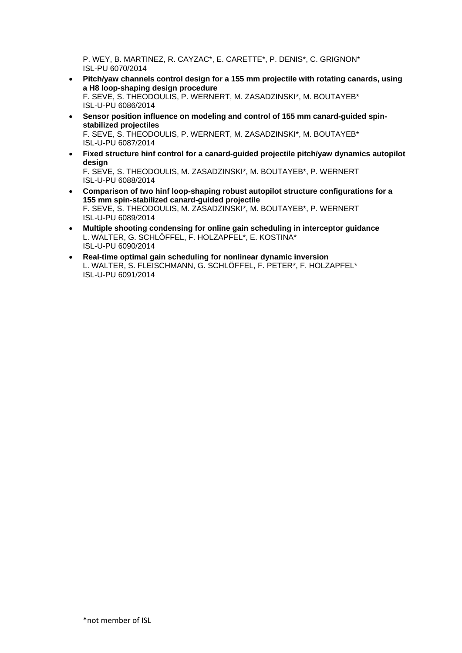P. WEY, B. MARTINEZ, R. CAYZAC\*, E. CARETTE\*, P. DENIS\*, C. GRIGNON\* ISL-PU 6070/2014

- **Pitch/yaw channels control design for a 155 mm projectile with rotating canards, using a H8 loop-shaping design procedure** F. SEVE, S. THEODOULIS, P. WERNERT, M. ZASADZINSKI\*, M. BOUTAYEB\* ISL-U-PU 6086/2014
- **Sensor position influence on modeling and control of 155 mm canard-guided spinstabilized projectiles** F. SEVE, S. THEODOULIS, P. WERNERT, M. ZASADZINSKI\*, M. BOUTAYEB\* ISL-U-PU 6087/2014
- **Fixed structure hinf control for a canard-guided projectile pitch/yaw dynamics autopilot design** F. SEVE, S. THEODOULIS, M. ZASADZINSKI\*, M. BOUTAYEB\*, P. WERNERT ISL-U-PU 6088/2014
- **Comparison of two hinf loop-shaping robust autopilot structure configurations for a 155 mm spin-stabilized canard-guided projectile** F. SEVE, S. THEODOULIS, M. ZASADZINSKI\*, M. BOUTAYEB\*, P. WERNERT ISL-U-PU 6089/2014
- **Multiple shooting condensing for online gain scheduling in interceptor guidance** L. WALTER, G. SCHLÖFFEL, F. HOLZAPFEL\*, E. KOSTINA\* ISL-U-PU 6090/2014
- **Real-time optimal gain scheduling for nonlinear dynamic inversion** L. WALTER, S. FLEISCHMANN, G. SCHLÖFFEL, F. PETER\*, F. HOLZAPFEL\* ISL-U-PU 6091/2014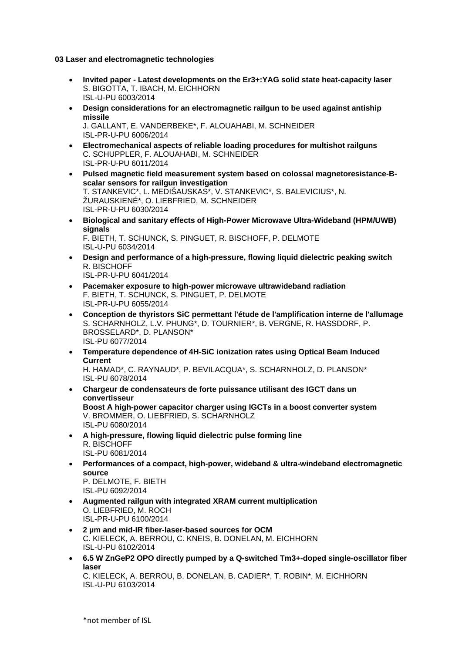**03 Laser and electromagnetic technologies** 

- **Invited paper Latest developments on the Er3+:YAG solid state heat-capacity laser** S. BIGOTTA, T. IBACH, M. EICHHORN ISL-U-PU 6003/2014
- **Design considerations for an electromagnetic railgun to be used against antiship missile** J. GALLANT, E. VANDERBEKE\*, F. ALOUAHABI, M. SCHNEIDER ISL-PR-U-PU 6006/2014
- **Electromechanical aspects of reliable loading procedures for multishot railguns** C. SCHUPPLER, F. ALOUAHABI, M. SCHNEIDER ISL-PR-U-PU 6011/2014
- **Pulsed magnetic field measurement system based on colossal magnetoresistance-Bscalar sensors for railgun investigation** T. STANKEVIC\*, L. MEDIŠAUSKAS\*, V. STANKEVIC\*, S. BALEVICIUS\*, N. ŽURAUSKIENÉ\*, O. LIEBFRIED, M. SCHNEIDER ISL-PR-U-PU 6030/2014
- **Biological and sanitary effects of High-Power Microwave Ultra-Wideband (HPM/UWB) signals** F. BIETH, T. SCHUNCK, S. PINGUET, R. BISCHOFF, P. DELMOTE ISL-U-PU 6034/2014
- **Design and performance of a high-pressure, flowing liquid dielectric peaking switch** R. BISCHOFF ISL-PR-U-PU 6041/2014
- **Pacemaker exposure to high-power microwave ultrawideband radiation** F. BIETH, T. SCHUNCK, S. PINGUET, P. DELMOTE ISL-PR-U-PU 6055/2014
- **Conception de thyristors SiC permettant l'étude de l'amplification interne de l'allumage** S. SCHARNHOLZ, L.V. PHUNG\*, D. TOURNIER\*, B. VERGNE, R. HASSDORF, P. BROSSELARD\*, D. PLANSON\* ISL-PU 6077/2014
- **Temperature dependence of 4H-SiC ionization rates using Optical Beam Induced Current** H. HAMAD\*, C. RAYNAUD\*, P. BEVILACQUA\*, S. SCHARNHOLZ, D. PLANSON\* ISL-PU 6078/2014
- **Chargeur de condensateurs de forte puissance utilisant des IGCT dans un convertisseur Boost A high-power capacitor charger using IGCTs in a boost converter system** V. BROMMER, O. LIEBFRIED, S. SCHARNHOLZ ISL-PU 6080/2014
- **A high-pressure, flowing liquid dielectric pulse forming line** R. BISCHOFF ISL-PU 6081/2014
- **Performances of a compact, high-power, wideband & ultra-windeband electromagnetic source** P. DELMOTE, F. BIETH

ISL-PU 6092/2014

- **Augmented railgun with integrated XRAM current multiplication** O. LIEBFRIED, M. ROCH ISL-PR-U-PU 6100/2014
- **2 µm and mid-IR fiber-laser-based sources for OCM** C. KIELECK, A. BERROU, C. KNEIS, B. DONELAN, M. EICHHORN ISL-U-PU 6102/2014
- **6.5 W ZnGeP2 OPO directly pumped by a Q-switched Tm3+-doped single-oscillator fiber laser**

C. KIELECK, A. BERROU, B. DONELAN, B. CADIER\*, T. ROBIN\*, M. EICHHORN ISL-U-PU 6103/2014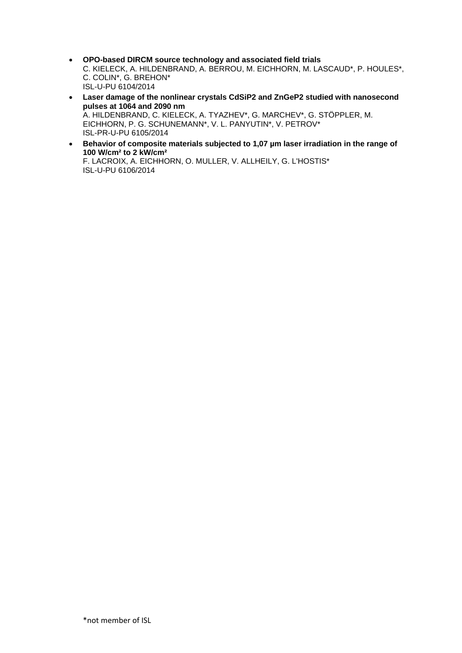- **OPO-based DIRCM source technology and associated field trials** C. KIELECK, A. HILDENBRAND, A. BERROU, M. EICHHORN, M. LASCAUD\*, P. HOULES\*, C. COLIN\*, G. BREHON\* ISL-U-PU 6104/2014
- **Laser damage of the nonlinear crystals CdSiP2 and ZnGeP2 studied with nanosecond pulses at 1064 and 2090 nm** A. HILDENBRAND, C. KIELECK, A. TYAZHEV\*, G. MARCHEV\*, G. STÖPPLER, M. EICHHORN, P. G. SCHUNEMANN\*, V. L. PANYUTIN\*, V. PETROV\* ISL-PR-U-PU 6105/2014
- **Behavior of composite materials subjected to 1,07 µm laser irradiation in the range of 100 W/cm² to 2 kW/cm²** F. LACROIX, A. EICHHORN, O. MULLER, V. ALLHEILY, G. L'HOSTIS\* ISL-U-PU 6106/2014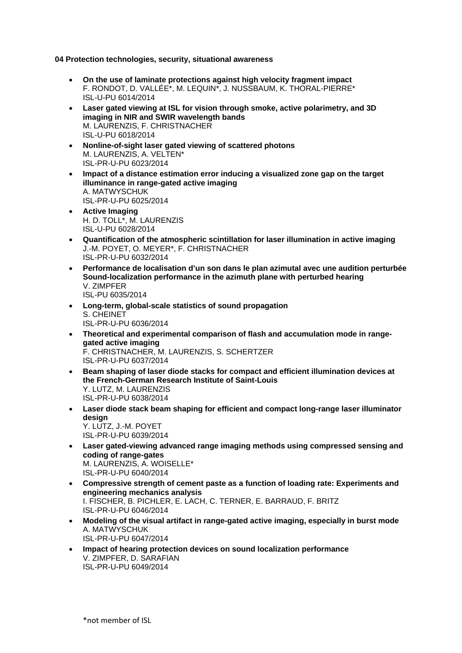**04 Protection technologies, security, situational awareness** 

- **On the use of laminate protections against high velocity fragment impact** F. RONDOT, D. VALLÉE\*, M. LEQUIN\*, J. NUSSBAUM, K. THORAL-PIERRE\* ISL-U-PU 6014/2014
- **Laser gated viewing at ISL for vision through smoke, active polarimetry, and 3D imaging in NIR and SWIR wavelength bands** M. LAURENZIS, F. CHRISTNACHER ISL-U-PU 6018/2014
- **Nonline-of-sight laser gated viewing of scattered photons** M. LAURENZIS, A. VELTEN\* ISL-PR-U-PU 6023/2014
- **Impact of a distance estimation error inducing a visualized zone gap on the target illuminance in range-gated active imaging** A. MATWYSCHUK ISL-PR-U-PU 6025/2014
- **Active Imaging** H. D. TOLL\*, M. LAURENZIS ISL-U-PU 6028/2014
- **Quantification of the atmospheric scintillation for laser illumination in active imaging** J.-M. POYET, O. MEYER\*, F. CHRISTNACHER ISL-PR-U-PU 6032/2014
- **Performance de localisation d'un son dans le plan azimutal avec une audition perturbée Sound-localization performance in the azimuth plane with perturbed hearing** V. ZIMPFER ISL-PU 6035/2014
- **Long-term, global-scale statistics of sound propagation** S. CHEINET ISL-PR-U-PU 6036/2014
- **Theoretical and experimental comparison of flash and accumulation mode in rangegated active imaging** F. CHRISTNACHER, M. LAURENZIS, S. SCHERTZER ISL-PR-U-PU 6037/2014
- **Beam shaping of laser diode stacks for compact and efficient illumination devices at the French-German Research Institute of Saint-Louis** Y. LUTZ, M. LAURENZIS ISL-PR-U-PU 6038/2014
- **Laser diode stack beam shaping for efficient and compact long-range laser illuminator design** Y. LUTZ, J.-M. POYET ISL-PR-U-PU 6039/2014
- **Laser gated-viewing advanced range imaging methods using compressed sensing and coding of range-gates** M. LAURENZIS, A. WOISELLE\* ISL-PR-U-PU 6040/2014
- **Compressive strength of cement paste as a function of loading rate: Experiments and engineering mechanics analysis** I. FISCHER, B. PICHLER, E. LACH, C. TERNER, E. BARRAUD, F. BRITZ ISL-PR-U-PU 6046/2014
- **Modeling of the visual artifact in range-gated active imaging, especially in burst mode** A. MATWYSCHUK ISL-PR-U-PU 6047/2014
- **Impact of hearing protection devices on sound localization performance** V. ZIMPFER, D. SARAFIAN ISL-PR-U-PU 6049/2014